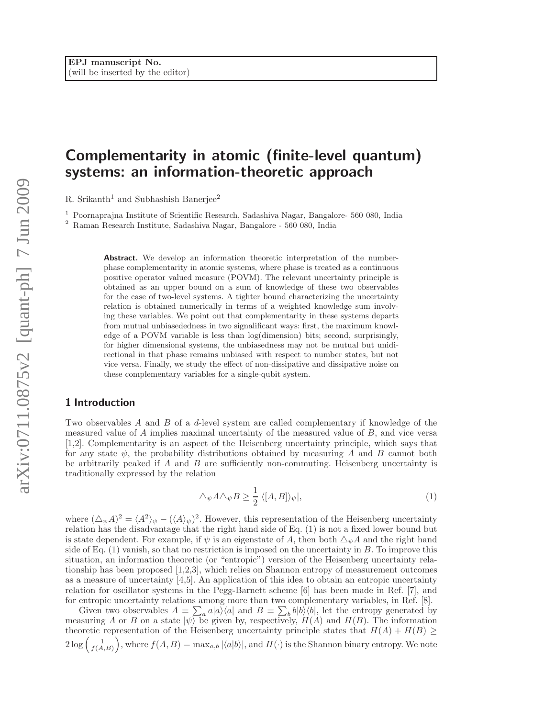# Complementarity in atomic (finite-level quantum) systems: an information-theoretic approach

R. Srikanth<sup>1</sup> and Subhashish Banerjee<sup>2</sup>

<sup>1</sup> Poornaprajna Institute of Scientific Research, Sadashiva Nagar, Bangalore- 560 080, India

<sup>2</sup> Raman Research Institute, Sadashiva Nagar, Bangalore - 560 080, India

Abstract. We develop an information theoretic interpretation of the numberphase complementarity in atomic systems, where phase is treated as a continuous positive operator valued measure (POVM). The relevant uncertainty principle is obtained as an upper bound on a sum of knowledge of these two observables for the case of two-level systems. A tighter bound characterizing the uncertainty relation is obtained numerically in terms of a weighted knowledge sum involving these variables. We point out that complementarity in these systems departs from mutual unbiasededness in two signalificant ways: first, the maximum knowledge of a POVM variable is less than log(dimension) bits; second, surprisingly, for higher dimensional systems, the unbiasedness may not be mutual but unidirectional in that phase remains unbiased with respect to number states, but not vice versa. Finally, we study the effect of non-dissipative and dissipative noise on these complementary variables for a single-qubit system.

# 1 Introduction

Two observables A and B of a d-level system are called complementary if knowledge of the measured value of A implies maximal uncertainty of the measured value of B, and vice versa [1,2]. Complementarity is an aspect of the Heisenberg uncertainty principle, which says that for any state  $\psi$ , the probability distributions obtained by measuring A and B cannot both be arbitrarily peaked if  $A$  and  $B$  are sufficiently non-commuting. Heisenberg uncertainty is traditionally expressed by the relation

$$
\Delta_{\psi} A \Delta_{\psi} B \ge \frac{1}{2} |\langle [A, B] \rangle_{\psi}|,\tag{1}
$$

where  $(\Delta_{\psi}A)^2 = \langle A^2 \rangle_{\psi} - (\langle A \rangle_{\psi})^2$ . However, this representation of the Heisenberg uncertainty relation has the disadvantage that the right hand side of Eq. (1) is not a fixed lower bound but is state dependent. For example, if  $\psi$  is an eigenstate of A, then both  $\Delta_{\psi}A$  and the right hand side of Eq.  $(1)$  vanish, so that no restriction is imposed on the uncertainty in B. To improve this situation, an information theoretic (or "entropic") version of the Heisenberg uncertainty relationship has been proposed [1,2,3], which relies on Shannon entropy of measurement outcomes as a measure of uncertainty [4,5]. An application of this idea to obtain an entropic uncertainty relation for oscillator systems in the Pegg-Barnett scheme [6] has been made in Ref. [7], and for entropic uncertainty relations among more than two complementary variables, in Ref. [8].

Given two observables  $A = \sum_a a|a\rangle\langle a|$  and  $B = \sum_b b|b\rangle\langle b|$ , let the entropy generated by measuring A or B on a state  $|\psi\rangle$  be given by, respectively,  $H(A)$  and  $H(B)$ . The information theoretic representation of the Heisenberg uncertainty principle states that  $H(A) + H(B) \geq$  $2\log\left(\frac{1}{f(A,B)}\right)$ , where  $f(A,B) = \max_{a,b} |\langle a|b \rangle|$ , and  $H(\cdot)$  is the Shannon binary entropy. We note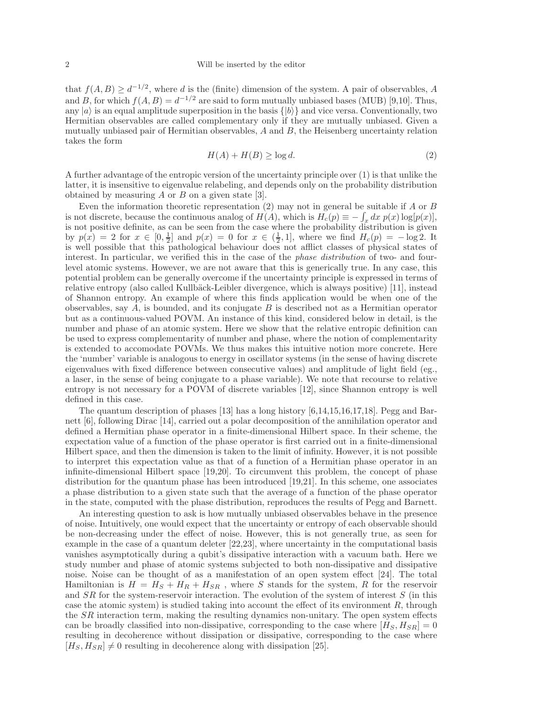that  $f(A, B) \geq d^{-1/2}$ , where d is the (finite) dimension of the system. A pair of observables, A and B, for which  $f(A, B) = d^{-1/2}$  are said to form mutually unbiased bases (MUB) [9,10]. Thus, any  $|a\rangle$  is an equal amplitude superposition in the basis  $\{|b\rangle\}$  and vice versa. Conventionally, two Hermitian observables are called complementary only if they are mutually unbiased. Given a mutually unbiased pair of Hermitian observables,  $A$  and  $B$ , the Heisenberg uncertainty relation takes the form

$$
H(A) + H(B) \ge \log d. \tag{2}
$$

A further advantage of the entropic version of the uncertainty principle over (1) is that unlike the latter, it is insensitive to eigenvalue relabeling, and depends only on the probability distribution obtained by measuring  $A$  or  $B$  on a given state [3].

Even the information theoretic representation  $(2)$  may not in general be suitable if A or B is not discrete, because the continuous analog of  $H(A)$ , which is  $H_c(p) \equiv -\int_x dx p(x) \log[p(x)]$ , is not positive definite, as can be seen from the case where the probability distribution is given by  $p(x) = 2$  for  $x \in [0, \frac{1}{2}]$  and  $p(x) = 0$  for  $x \in (\frac{1}{2}, 1]$ , where we find  $H_c(p) = -\log 2$ . It is well possible that this pathological behaviour does not afflict classes of physical states of interest. In particular, we verified this in the case of the phase distribution of two- and fourlevel atomic systems. However, we are not aware that this is generically true. In any case, this potential problem can be generally overcome if the uncertainty principle is expressed in terms of relative entropy (also called Kullbäck-Leibler divergence, which is always positive) [11], instead of Shannon entropy. An example of where this finds application would be when one of the observables, say  $A$ , is bounded, and its conjugate  $B$  is described not as a Hermitian operator but as a continuous-valued POVM. An instance of this kind, considered below in detail, is the number and phase of an atomic system. Here we show that the relative entropic definition can be used to express complementarity of number and phase, where the notion of complementarity is extended to accomodate POVMs. We thus makes this intuitive notion more concrete. Here the 'number' variable is analogous to energy in oscillator systems (in the sense of having discrete eigenvalues with fixed difference between consecutive values) and amplitude of light field (eg., a laser, in the sense of being conjugate to a phase variable). We note that recourse to relative entropy is not necessary for a POVM of discrete variables [12], since Shannon entropy is well defined in this case.

The quantum description of phases [13] has a long history [6,14,15,16,17,18]. Pegg and Barnett [6], following Dirac [14], carried out a polar decomposition of the annihilation operator and defined a Hermitian phase operator in a finite-dimensional Hilbert space. In their scheme, the expectation value of a function of the phase operator is first carried out in a finite-dimensional Hilbert space, and then the dimension is taken to the limit of infinity. However, it is not possible to interpret this expectation value as that of a function of a Hermitian phase operator in an infinite-dimensional Hilbert space [19,20]. To circumvent this problem, the concept of phase distribution for the quantum phase has been introduced [19,21]. In this scheme, one associates a phase distribution to a given state such that the average of a function of the phase operator in the state, computed with the phase distribution, reproduces the results of Pegg and Barnett.

An interesting question to ask is how mutually unbiased observables behave in the presence of noise. Intuitively, one would expect that the uncertainty or entropy of each observable should be non-decreasing under the effect of noise. However, this is not generally true, as seen for example in the case of a quantum deleter [22,23], where uncertainty in the computational basis vanishes asymptotically during a qubit's dissipative interaction with a vacuum bath. Here we study number and phase of atomic systems subjected to both non-dissipative and dissipative noise. Noise can be thought of as a manifestation of an open system effect [24]. The total Hamiltonian is  $H = H_S + H_R + H_{SR}$ , where S stands for the system, R for the reservoir and  $SR$  for the system-reservoir interaction. The evolution of the system of interest  $S$  (in this case the atomic system) is studied taking into account the effect of its environment  $R$ , through the SR interaction term, making the resulting dynamics non-unitary. The open system effects can be broadly classified into non-dissipative, corresponding to the case where  $[H_S, H_{SR}] = 0$ resulting in decoherence without dissipation or dissipative, corresponding to the case where  $[H<sub>S</sub>, H<sub>SR</sub>] \neq 0$  resulting in decoherence along with dissipation [25].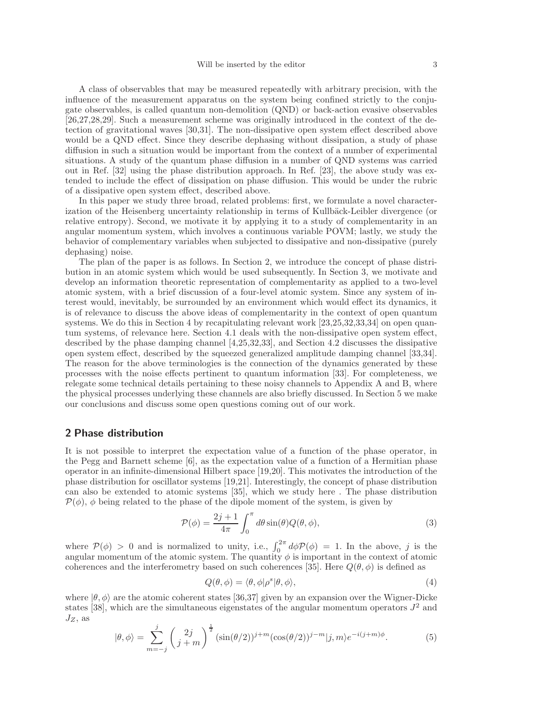A class of observables that may be measured repeatedly with arbitrary precision, with the influence of the measurement apparatus on the system being confined strictly to the conjugate observables, is called quantum non-demolition (QND) or back-action evasive observables [26,27,28,29]. Such a measurement scheme was originally introduced in the context of the detection of gravitational waves [30,31]. The non-dissipative open system effect described above would be a QND effect. Since they describe dephasing without dissipation, a study of phase diffusion in such a situation would be important from the context of a number of experimental situations. A study of the quantum phase diffusion in a number of QND systems was carried out in Ref. [32] using the phase distribution approach. In Ref. [23], the above study was extended to include the effect of dissipation on phase diffusion. This would be under the rubric of a dissipative open system effect, described above.

In this paper we study three broad, related problems: first, we formulate a novel characterization of the Heisenberg uncertainty relationship in terms of Kullbäck-Leibler divergence (or relative entropy). Second, we motivate it by applying it to a study of complementarity in an angular momentum system, which involves a continuous variable POVM; lastly, we study the behavior of complementary variables when subjected to dissipative and non-dissipative (purely dephasing) noise.

The plan of the paper is as follows. In Section 2, we introduce the concept of phase distribution in an atomic system which would be used subsequently. In Section 3, we motivate and develop an information theoretic representation of complementarity as applied to a two-level atomic system, with a brief discussion of a four-level atomic system. Since any system of interest would, inevitably, be surrounded by an environment which would effect its dynamics, it is of relevance to discuss the above ideas of complementarity in the context of open quantum systems. We do this in Section 4 by recapitulating relevant work [23,25,32,33,34] on open quantum systems, of relevance here. Section 4.1 deals with the non-dissipative open system effect, described by the phase damping channel [4,25,32,33], and Section 4.2 discusses the dissipative open system effect, described by the squeezed generalized amplitude damping channel [33,34]. The reason for the above terminologies is the connection of the dynamics generated by these processes with the noise effects pertinent to quantum information [33]. For completeness, we relegate some technical details pertaining to these noisy channels to Appendix A and B, where the physical processes underlying these channels are also briefly discussed. In Section 5 we make our conclusions and discuss some open questions coming out of our work.

#### 2 Phase distribution

It is not possible to interpret the expectation value of a function of the phase operator, in the Pegg and Barnett scheme [6], as the expectation value of a function of a Hermitian phase operator in an infinite-dimensional Hilbert space [19,20]. This motivates the introduction of the phase distribution for oscillator systems [19,21]. Interestingly, the concept of phase distribution can also be extended to atomic systems [35], which we study here . The phase distribution  $\mathcal{P}(\phi)$ ,  $\phi$  being related to the phase of the dipole moment of the system, is given by

$$
\mathcal{P}(\phi) = \frac{2j+1}{4\pi} \int_0^{\pi} d\theta \sin(\theta) Q(\theta, \phi), \tag{3}
$$

where  $P(\phi) > 0$  and is normalized to unity, i.e.,  $\int_0^{2\pi} d\phi P(\phi) = 1$ . In the above, j is the angular momentum of the atomic system. The quantity  $\phi$  is important in the context of atomic coherences and the interferometry based on such coherences [35]. Here  $Q(\theta, \phi)$  is defined as

$$
Q(\theta, \phi) = \langle \theta, \phi | \rho^s | \theta, \phi \rangle, \tag{4}
$$

where  $|\theta, \phi\rangle$  are the atomic coherent states [36,37] given by an expansion over the Wigner-Dicke states [38], which are the simultaneous eigenstates of the angular momentum operators  $J^2$  and  $J_Z$ , as

$$
|\theta,\phi\rangle = \sum_{m=-j}^{j} \left(\frac{2j}{j+m}\right)^{\frac{1}{2}} (\sin(\theta/2))^{j+m} (\cos(\theta/2))^{j-m} |j,m\rangle e^{-i(j+m)\phi}.
$$
 (5)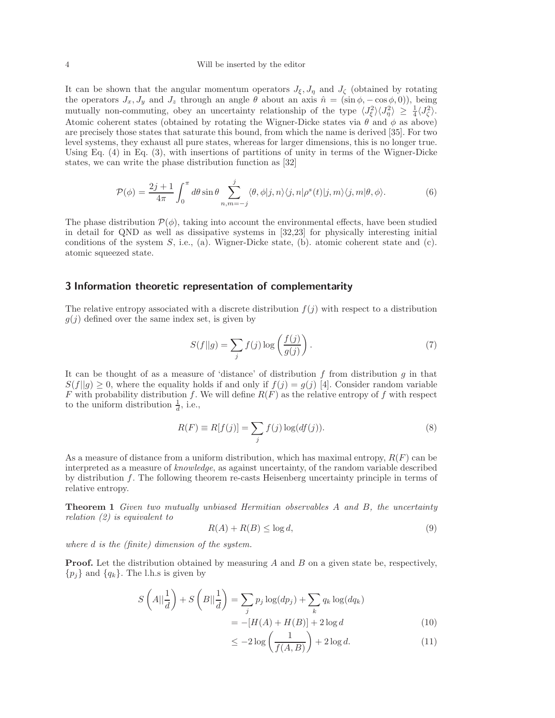#### 4 Will be inserted by the editor

It can be shown that the angular momentum operators  $J_{\xi}, J_{\eta}$  and  $J_{\zeta}$  (obtained by rotating the operators  $J_x, J_y$  and  $J_z$  through an angle  $\theta$  about an axis  $\hat{n} = (\sin \phi, -\cos \phi, 0)$ , being mutually non-commuting, obey an uncertainty relationship of the type  $\langle J_{\xi}^2 \rangle \langle J_{\eta}^2 \rangle \geq \frac{1}{4} \langle J_{\zeta}^2 \rangle$ . Atomic coherent states (obtained by rotating the Wigner-Dicke states via  $\theta$  and  $\phi$  as above) are precisely those states that saturate this bound, from which the name is derived [35]. For two level systems, they exhaust all pure states, whereas for larger dimensions, this is no longer true. Using Eq. (4) in Eq. (3), with insertions of partitions of unity in terms of the Wigner-Dicke states, we can write the phase distribution function as [32]

$$
\mathcal{P}(\phi) = \frac{2j+1}{4\pi} \int_0^{\pi} d\theta \sin \theta \sum_{n,m=-j}^j \langle \theta, \phi | j, n \rangle \langle j, n | \rho^s(t) | j, m \rangle \langle j, m | \theta, \phi \rangle.
$$
 (6)

The phase distribution  $\mathcal{P}(\phi)$ , taking into account the environmental effects, have been studied in detail for QND as well as dissipative systems in [32,23] for physically interesting initial conditions of the system  $S$ , i.e., (a). Wigner-Dicke state, (b). atomic coherent state and (c). atomic squeezed state.

# 3 Information theoretic representation of complementarity

The relative entropy associated with a discrete distribution  $f(i)$  with respect to a distribution  $g(j)$  defined over the same index set, is given by

$$
S(f||g) = \sum_{j} f(j) \log \left(\frac{f(j)}{g(j)}\right). \tag{7}
$$

It can be thought of as a measure of 'distance' of distribution  $f$  from distribution  $g$  in that  $S(f||g) \geq 0$ , where the equality holds if and only if  $f(j) = g(j)$  [4]. Consider random variable F with probability distribution f. We will define  $R(F)$  as the relative entropy of f with respect to the uniform distribution  $\frac{1}{d}$ , i.e.,

$$
R(F) \equiv R[f(j)] = \sum_{j} f(j) \log(df(j)).
$$
\n(8)

As a measure of distance from a uniform distribution, which has maximal entropy,  $R(F)$  can be interpreted as a measure of knowledge, as against uncertainty, of the random variable described by distribution f. The following theorem re-casts Heisenberg uncertainty principle in terms of relative entropy.

Theorem 1 Given two mutually unbiased Hermitian observables A and B, the uncertainty relation (2) is equivalent to

$$
R(A) + R(B) \le \log d,\tag{9}
$$

where d is the (finite) dimension of the system.

**Proof.** Let the distribution obtained by measuring A and B on a given state be, respectively,  $\{p_i\}$  and  $\{q_k\}$ . The l.h.s is given by

$$
S\left(A||\frac{1}{d}\right) + S\left(B||\frac{1}{d}\right) = \sum_{j} p_j \log(dp_j) + \sum_{k} q_k \log(dq_k)
$$

$$
= -[H(A) + H(B)] + 2\log d \tag{10}
$$

$$
\leq -2\log\left(\frac{1}{f(A,B)}\right) + 2\log d. \tag{11}
$$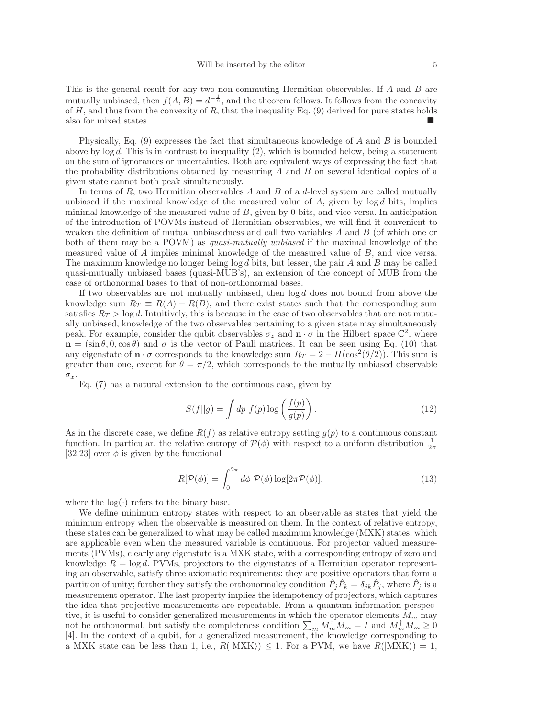This is the general result for any two non-commuting Hermitian observables. If A and B are mutually unbiased, then  $f(A, B) = d^{-\frac{1}{2}}$ , and the theorem follows. It follows from the concavity of  $H$ , and thus from the convexity of  $R$ , that the inequality Eq. (9) derived for pure states holds also for mixed states.

Physically, Eq.  $(9)$  expresses the fact that simultaneous knowledge of A and B is bounded above by  $\log d$ . This is in contrast to inequality (2), which is bounded below, being a statement on the sum of ignorances or uncertainties. Both are equivalent ways of expressing the fact that the probability distributions obtained by measuring  $A$  and  $B$  on several identical copies of a given state cannot both peak simultaneously.

In terms of  $R$ , two Hermitian observables  $A$  and  $B$  of a  $d$ -level system are called mutually unbiased if the maximal knowledge of the measured value of  $A$ , given by  $\log d$  bits, implies minimal knowledge of the measured value of B, given by 0 bits, and vice versa. In anticipation of the introduction of POVMs instead of Hermitian observables, we will find it convenient to weaken the definition of mutual unbiasedness and call two variables  $A$  and  $B$  (of which one or both of them may be a POVM) as quasi-mutually unbiased if the maximal knowledge of the measured value of A implies minimal knowledge of the measured value of B, and vice versa. The maximum knowledge no longer being  $\log d$  bits, but lesser, the pair A and B may be called quasi-mutually unbiased bases (quasi-MUB's), an extension of the concept of MUB from the case of orthonormal bases to that of non-orthonormal bases.

If two observables are not mutually unbiased, then  $\log d$  does not bound from above the knowledge sum  $R_T \equiv R(A) + R(B)$ , and there exist states such that the corresponding sum satisfies  $R_T > \log d$ . Intuitively, this is because in the case of two observables that are not mutually unbiased, knowledge of the two observables pertaining to a given state may simultaneously peak. For example, consider the qubit observables  $\sigma_z$  and  $\mathbf{n} \cdot \sigma$  in the Hilbert space  $\mathbb{C}^2$ , where  $n = (\sin \theta, 0, \cos \theta)$  and  $\sigma$  is the vector of Pauli matrices. It can be seen using Eq. (10) that any eigenstate of  $\mathbf{n} \cdot \sigma$  corresponds to the knowledge sum  $R_T = 2 - H(\cos^2(\theta/2))$ . This sum is greater than one, except for  $\theta = \pi/2$ , which corresponds to the mutually unbiased observable  $\sigma_x$ .

Eq. (7) has a natural extension to the continuous case, given by

$$
S(f||g) = \int dp f(p) \log \left(\frac{f(p)}{g(p)}\right). \tag{12}
$$

As in the discrete case, we define  $R(f)$  as relative entropy setting  $g(p)$  to a continuous constant function. In particular, the relative entropy of  $\mathcal{P}(\phi)$  with respect to a uniform distribution  $\frac{1}{2\pi}$ [32,23] over  $\phi$  is given by the functional

$$
R[\mathcal{P}(\phi)] = \int_0^{2\pi} d\phi \; \mathcal{P}(\phi) \log[2\pi \mathcal{P}(\phi)],\tag{13}
$$

where the  $log(.)$  refers to the binary base.

We define minimum entropy states with respect to an observable as states that yield the minimum entropy when the observable is measured on them. In the context of relative entropy, these states can be generalized to what may be called maximum knowledge (MXK) states, which are applicable even when the measured variable is continuous. For projector valued measurements (PVMs), clearly any eigenstate is a MXK state, with a corresponding entropy of zero and knowledge  $R = \log d$ . PVMs, projectors to the eigenstates of a Hermitian operator representing an observable, satisfy three axiomatic requirements: they are positive operators that form a partition of unity; further they satisfy the orthonormalcy condition  $\hat{P}_j \hat{P}_k = \delta_{jk} \hat{P}_j$ , where  $\hat{P}_j$  is a measurement operator. The last property implies the idempotency of projectors, which captures the idea that projective measurements are repeatable. From a quantum information perspective, it is useful to consider generalized measurements in which the operator elements  $M_m$  may not be orthonormal, but satisfy the completeness condition  $\sum_m M_m^{\dagger} M_m = I$  and  $M_m^{\dagger} M_m \geq 0$ [4]. In the context of a qubit, for a generalized measurement, the knowledge corresponding to a MXK state can be less than 1, i.e.,  $R(|\text{MXK}\rangle) \leq 1$ . For a PVM, we have  $R(|\text{MXK}\rangle) = 1$ ,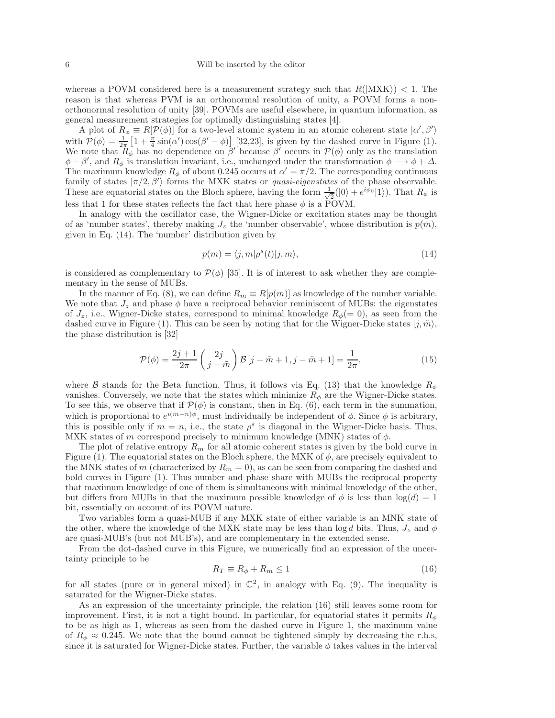whereas a POVM considered here is a measurement strategy such that  $R(|\text{MXK}\rangle) < 1$ . The reason is that whereas PVM is an orthonormal resolution of unity, a POVM forms a nonorthonormal resolution of unity [39]. POVMs are useful elsewhere, in quantum information, as general measurement strategies for optimally distinguishing states [4].

A plot of  $R_{\phi} \equiv R[\mathcal{P}(\phi)]$  for a two-level atomic system in an atomic coherent state  $|\alpha', \beta'|$ A plot of  $R_{\phi} \equiv R[P(\phi)]$  for a two-level atomic system in an atomic conerent state  $\alpha$ ,  $\beta$ ,<br>with  $P(\phi) = \frac{1}{2\pi} \left[1 + \frac{\pi}{4} \sin(\alpha') \cos(\beta' - \phi)\right]$  [32,23], is given by the dashed curve in Figure (1). We note that  $R_{\phi}$  has no dependence on β' because β' occurs in  $\mathcal{P}(\phi)$  only as the translation  $\phi - \beta'$ , and  $R_{\phi}$  is translation invariant, i.e., unchanged under the transformation  $\phi \longrightarrow \phi + \Delta$ . The maximum knowledge  $R_{\phi}$  of about 0.245 occurs at  $\alpha' = \pi/2$ . The corresponding continuous family of states  $|\pi/2, \beta'\rangle$  forms the MXK states or *quasi-eigenstates* of the phase observable. These are equatorial states on the Bloch sphere, having the form  $\frac{1}{\sqrt{2}}$  $\frac{1}{2}(|0\rangle + e^{i\phi_0}|1\rangle)$ . That  $R_\phi$  is less that 1 for these states reflects the fact that here phase  $\phi$  is a POVM.

In analogy with the oscillator case, the Wigner-Dicke or excitation states may be thought of as 'number states', thereby making  $J_z$  the 'number observable', whose distribution is  $p(m)$ , given in Eq. (14). The 'number' distribution given by

$$
p(m) = \langle j, m | \rho^{s}(t) | j, m \rangle,
$$
\n(14)

is considered as complementary to  $\mathcal{P}(\phi)$  [35]. It is of interest to ask whether they are complementary in the sense of MUBs.

In the manner of Eq. (8), we can define  $R_m \equiv R[p(m)]$  as knowledge of the number variable. We note that  $J_z$  and phase  $\phi$  have a reciprocal behavior reminiscent of MUBs: the eigenstates of  $J_z$ , i.e., Wigner-Dicke states, correspond to minimal knowledge  $R_{\phi} (= 0)$ , as seen from the dashed curve in Figure (1). This can be seen by noting that for the Wigner-Dicke states  $|j, \tilde{m}\rangle$ , the phase distribution is [32]

$$
\mathcal{P}(\phi) = \frac{2j+1}{2\pi} \left( \frac{2j}{j+\tilde{m}} \right) \mathcal{B} \left[ j+\tilde{m}+1, j-\tilde{m}+1 \right] = \frac{1}{2\pi},\tag{15}
$$

where B stands for the Beta function. Thus, it follows via Eq. (13) that the knowledge  $R_{\phi}$ vanishes. Conversely, we note that the states which minimize  $R_{\phi}$  are the Wigner-Dicke states. To see this, we observe that if  $\mathcal{P}(\phi)$  is constant, then in Eq. (6), each term in the summation, which is proportional to  $e^{i(m-n)\phi}$ , must individually be independent of  $\phi$ . Since  $\phi$  is arbitrary, this is possible only if  $m = n$ , i.e., the state  $\rho^s$  is diagonal in the Wigner-Dicke basis. Thus, MXK states of m correspond precisely to minimum knowledge (MNK) states of  $\phi$ .

The plot of relative entropy  $R_m$  for all atomic coherent states is given by the bold curve in Figure (1). The equatorial states on the Bloch sphere, the MXK of  $\phi$ , are precisely equivalent to the MNK states of m (characterized by  $R_m = 0$ ), as can be seen from comparing the dashed and bold curves in Figure (1). Thus number and phase share with MUBs the reciprocal property that maximum knowledge of one of them is simultaneous with minimal knowledge of the other, but differs from MUBs in that the maximum possible knowledge of  $\phi$  is less than  $\log(d) = 1$ bit, essentially on account of its POVM nature.

Two variables form a quasi-MUB if any MXK state of either variable is an MNK state of the other, where the knowledge of the MXK state may be less than  $\log d$  bits. Thus,  $J_z$  and  $\phi$ are quasi-MUB's (but not MUB's), and are complementary in the extended sense.

From the dot-dashed curve in this Figure, we numerically find an expression of the uncertainty principle to be

$$
R_T \equiv R_\phi + R_m \le 1\tag{16}
$$

for all states (pure or in general mixed) in  $\mathbb{C}^2$ , in analogy with Eq. (9). The inequality is saturated for the Wigner-Dicke states.

As an expression of the uncertainty principle, the relation (16) still leaves some room for improvement. First, it is not a tight bound. In particular, for equatorial states it permits  $R_{\phi}$ to be as high as 1, whereas as seen from the dashed curve in Figure 1, the maximum value of  $R_{\phi} \approx 0.245$ . We note that the bound cannot be tightened simply by decreasing the r.h.s, since it is saturated for Wigner-Dicke states. Further, the variable  $\phi$  takes values in the interval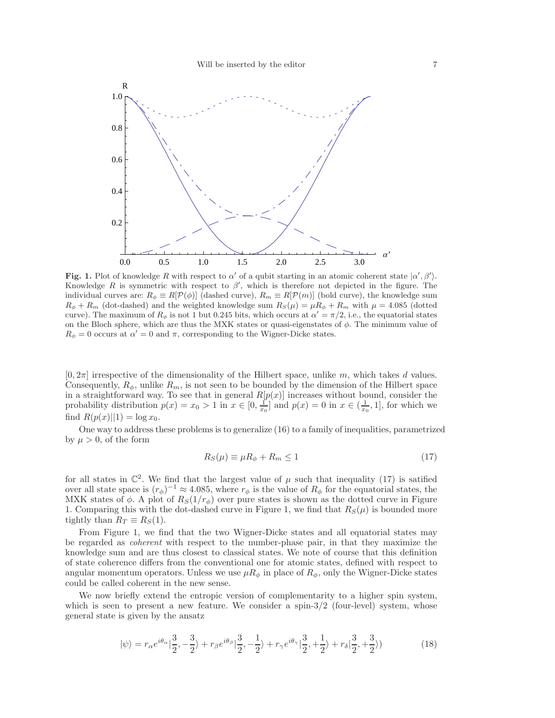

Fig. 1. Plot of knowledge R with respect to  $\alpha'$  of a qubit starting in an atomic coherent state  $|\alpha', \beta'\rangle$ . Knowledge R is symmetric with respect to  $\beta'$ , which is therefore not depicted in the figure. The individual curves are:  $R_{\phi} \equiv R[\mathcal{P}(\phi)]$  (dashed curve),  $R_m \equiv R[\mathcal{P}(m)]$  (bold curve), the knowledge sum  $R_{\phi} + R_m$  (dot-dashed) and the weighted knowledge sum  $R_S(\mu) = \mu R_{\phi} + R_m$  with  $\mu = 4.085$  (dotted curve). The maximum of  $R_{\phi}$  is not 1 but 0.245 bits, which occurs at  $\alpha' = \pi/2$ , i.e., the equatorial states on the Bloch sphere, which are thus the MXK states or quasi-eigenstates of  $\phi$ . The minimum value of  $R_{\phi} = 0$  occurs at  $\alpha' = 0$  and  $\pi$ , corresponding to the Wigner-Dicke states.

 $[0, 2\pi]$  irrespective of the dimensionality of the Hilbert space, unlike m, which takes d values. Consequently,  $R_{\phi}$ , unlike  $R_m$ , is not seen to be bounded by the dimension of the Hilbert space in a straightforward way. To see that in general  $R[p(x)]$  increases without bound, consider the probability distribution  $p(x) = x_0 > 1$  in  $x \in [0, \frac{1}{x_0}]$  and  $p(x) = 0$  in  $x \in (\frac{1}{x_0}, 1]$ , for which we find  $R(p(x)||1) = \log x_0$ .

One way to address these problems is to generalize (16) to a family of inequalities, parametrized by  $\mu > 0$ , of the form

$$
R_S(\mu) \equiv \mu R_\phi + R_m \le 1\tag{17}
$$

for all states in  $\mathbb{C}^2$ . We find that the largest value of  $\mu$  such that inequality (17) is satified over all state space is  $(r_{\phi})^{-1} \approx 4.085$ , where  $r_{\phi}$  is the value of  $R_{\phi}$  for the equatorial states, the MXK states of  $\phi$ . A plot of  $R_S(1/r_\phi)$  over pure states is shown as the dotted curve in Figure 1. Comparing this with the dot-dashed curve in Figure 1, we find that  $R_S(\mu)$  is bounded more tightly than  $R_T \equiv R_S(1)$ .

From Figure 1, we find that the two Wigner-Dicke states and all equatorial states may be regarded as coherent with respect to the number-phase pair, in that they maximize the knowledge sum and are thus closest to classical states. We note of course that this definition of state coherence differs from the conventional one for atomic states, defined with respect to angular momentum operators. Unless we use  $\mu R_{\phi}$  in place of  $R_{\phi}$ , only the Wigner-Dicke states could be called coherent in the new sense.

We now briefly extend the entropic version of complementarity to a higher spin system, which is seen to present a new feature. We consider a spin- $3/2$  (four-level) system, whose general state is given by the ansatz

$$
|\psi\rangle = r_{\alpha}e^{i\theta_{\alpha}}|\frac{3}{2}, -\frac{3}{2}\rangle + r_{\beta}e^{i\theta_{\beta}}|\frac{3}{2}, -\frac{1}{2}\rangle + r_{\gamma}e^{i\theta_{\gamma}}|\frac{3}{2}, +\frac{1}{2}\rangle + r_{\delta}|\frac{3}{2}, +\frac{3}{2}\rangle)
$$
 (18)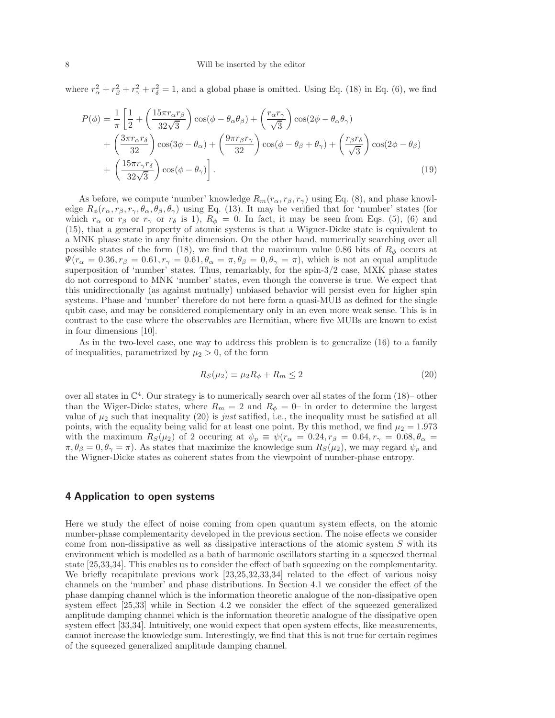where  $r_{\alpha}^2 + r_{\beta}^2 + r_{\gamma}^2 + r_{\delta}^2 = 1$ , and a global phase is omitted. Using Eq. (18) in Eq. (6), we find

$$
P(\phi) = \frac{1}{\pi} \left[ \frac{1}{2} + \left( \frac{15\pi r_{\alpha}r_{\beta}}{32\sqrt{3}} \right) \cos(\phi - \theta_{\alpha}\theta_{\beta}) + \left( \frac{r_{\alpha}r_{\gamma}}{\sqrt{3}} \right) \cos(2\phi - \theta_{\alpha}\theta_{\gamma}) + \left( \frac{3\pi r_{\alpha}r_{\delta}}{32} \right) \cos(3\phi - \theta_{\alpha}) + \left( \frac{9\pi r_{\beta}r_{\gamma}}{32} \right) \cos(\phi - \theta_{\beta} + \theta_{\gamma}) + \left( \frac{r_{\beta}r_{\delta}}{\sqrt{3}} \right) \cos(2\phi - \theta_{\beta}) + \left( \frac{15\pi r_{\gamma}r_{\delta}}{32\sqrt{3}} \right) \cos(\phi - \theta_{\gamma}) \right].
$$
\n(19)

As before, we compute 'number' knowledge  $R_m(r_\alpha, r_\beta, r_\gamma)$  using Eq. (8), and phase knowledge  $R_{\phi}(r_{\alpha}, r_{\beta}, r_{\gamma}, \theta_{\alpha}, \theta_{\beta}, \theta_{\gamma})$  using Eq. (13). It may be verified that for 'number' states (for which  $r_{\alpha}$  or  $r_{\beta}$  or  $r_{\gamma}$  or  $r_{\delta}$  is 1),  $R_{\phi} = 0$ . In fact, it may be seen from Eqs. (5), (6) and (15), that a general property of atomic systems is that a Wigner-Dicke state is equivalent to a MNK phase state in any finite dimension. On the other hand, numerically searching over all possible states of the form (18), we find that the maximum value 0.86 bits of  $R_{\phi}$  occurs at  $\Psi(r_{\alpha} = 0.36, r_{\beta} = 0.61, r_{\gamma} = 0.61, \theta_{\alpha} = \pi, \theta_{\beta} = 0, \theta_{\gamma} = \pi)$ , which is not an equal amplitude superposition of 'number' states. Thus, remarkably, for the spin-3/2 case, MXK phase states do not correspond to MNK 'number' states, even though the converse is true. We expect that this unidirectionally (as against mutually) unbiased behavior will persist even for higher spin systems. Phase and 'number' therefore do not here form a quasi-MUB as defined for the single qubit case, and may be considered complementary only in an even more weak sense. This is in contrast to the case where the observables are Hermitian, where five MUBs are known to exist in four dimensions [10].

As in the two-level case, one way to address this problem is to generalize (16) to a family of inequalities, parametrized by  $\mu_2 > 0$ , of the form

$$
R_S(\mu_2) \equiv \mu_2 R_\phi + R_m \le 2\tag{20}
$$

over all states in  $\mathbb{C}^4$ . Our strategy is to numerically search over all states of the form (18)– other than the Wiger-Dicke states, where  $R_m = 2$  and  $R_{\phi} = 0$ – in order to determine the largest value of  $\mu_2$  such that inequality (20) is just satified, i.e., the inequality must be satisfied at all points, with the equality being valid for at least one point. By this method, we find  $\mu_2 = 1.973$ with the maximum  $R_S(\mu_2)$  of 2 occuring at  $\psi_p \equiv \psi(r_\alpha = 0.24, r_\beta = 0.64, r_\gamma = 0.68, \theta_\alpha =$  $\pi, \theta_{\beta} = 0, \theta_{\gamma} = \pi$ ). As states that maximize the knowledge sum  $R_s(\mu_2)$ , we may regard  $\psi_p$  and the Wigner-Dicke states as coherent states from the viewpoint of number-phase entropy.

## 4 Application to open systems

Here we study the effect of noise coming from open quantum system effects, on the atomic number-phase complementarity developed in the previous section. The noise effects we consider come from non-dissipative as well as dissipative interactions of the atomic system  $S$  with its environment which is modelled as a bath of harmonic oscillators starting in a squeezed thermal state [25,33,34]. This enables us to consider the effect of bath squeezing on the complementarity. We briefly recapitulate previous work [23,25,32,33,34] related to the effect of various noisy channels on the 'number' and phase distributions. In Section 4.1 we consider the effect of the phase damping channel which is the information theoretic analogue of the non-dissipative open system effect [25,33] while in Section 4.2 we consider the effect of the squeezed generalized amplitude damping channel which is the information theoretic analogue of the dissipative open system effect [33,34]. Intuitively, one would expect that open system effects, like measurements, cannot increase the knowledge sum. Interestingly, we find that this is not true for certain regimes of the squeezed generalized amplitude damping channel.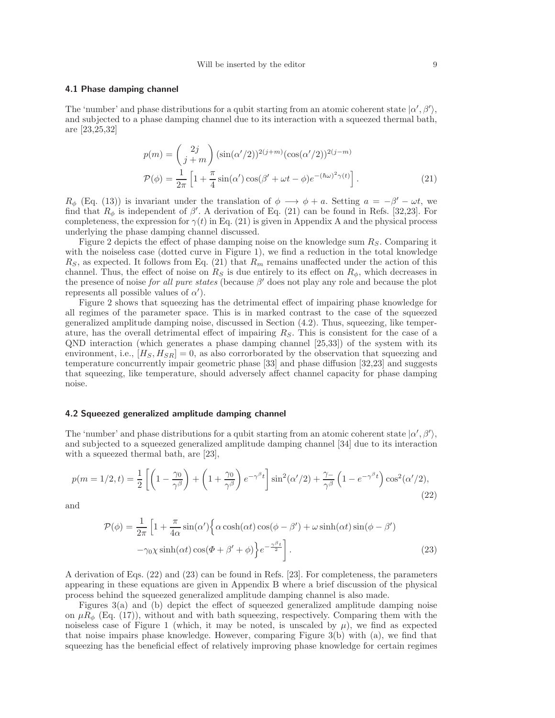#### 4.1 Phase damping channel

The 'number' and phase distributions for a qubit starting from an atomic coherent state  $|\alpha', \beta'\rangle$ , and subjected to a phase damping channel due to its interaction with a squeezed thermal bath, are [23,25,32]

$$
p(m) = {2j \choose j+m} (\sin(\alpha'/2))^{2(j+m)} (\cos(\alpha'/2))^{2(j-m)}
$$
  

$$
\mathcal{P}(\phi) = \frac{1}{2\pi} \left[ 1 + \frac{\pi}{4} \sin(\alpha') \cos(\beta' + \omega t - \phi) e^{-(\hbar\omega)^2 \gamma(t)} \right].
$$
 (21)

 $R_{\phi}$  (Eq. (13)) is invariant under the translation of  $\phi \rightarrow \phi + a$ . Setting  $a = -\beta' - \omega t$ , we find that  $R_{\phi}$  is independent of  $\beta'$ . A derivation of Eq. (21) can be found in Refs. [32,23]. For completeness, the expression for  $\gamma(t)$  in Eq. (21) is given in Appendix A and the physical process underlying the phase damping channel discussed.

Figure 2 depicts the effect of phase damping noise on the knowledge sum  $R<sub>S</sub>$ . Comparing it with the noiseless case (dotted curve in Figure 1), we find a reduction in the total knowledge  $R<sub>S</sub>$ , as expected. It follows from Eq. (21) that  $R<sub>m</sub>$  remains unaffected under the action of this channel. Thus, the effect of noise on  $R<sub>S</sub>$  is due entirely to its effect on  $R<sub>\phi</sub>$ , which decreases in the presence of noise *for all pure states* (because  $\beta'$  does not play any role and because the plot represents all possible values of  $\alpha'$ ).

Figure 2 shows that squeezing has the detrimental effect of impairing phase knowledge for all regimes of the parameter space. This is in marked contrast to the case of the squeezed generalized amplitude damping noise, discussed in Section (4.2). Thus, squeezing, like temperature, has the overall detrimental effect of impairing  $R<sub>S</sub>$ . This is consistent for the case of a QND interaction (which generates a phase damping channel [25,33]) of the system with its environment, i.e.,  $[H_S, H_{SR}] = 0$ , as also corrorborated by the observation that squeezing and temperature concurrently impair geometric phase [33] and phase diffusion [32,23] and suggests that squeezing, like temperature, should adversely affect channel capacity for phase damping noise.

#### 4.2 Squeezed generalized amplitude damping channel

The 'number' and phase distributions for a qubit starting from an atomic coherent state  $|\alpha', \beta'\rangle$ , and subjected to a squeezed generalized amplitude damping channel [34] due to its interaction with a squeezed thermal bath, are [23],

$$
p(m=1/2,t) = \frac{1}{2} \left[ \left( 1 - \frac{\gamma_0}{\gamma^{\beta}} \right) + \left( 1 + \frac{\gamma_0}{\gamma^{\beta}} \right) e^{-\gamma^{\beta}t} \right] \sin^2(\alpha'/2) + \frac{\gamma_-}{\gamma^{\beta}} \left( 1 - e^{-\gamma^{\beta}t} \right) \cos^2(\alpha'/2),\tag{22}
$$

and

$$
\mathcal{P}(\phi) = \frac{1}{2\pi} \left[ 1 + \frac{\pi}{4\alpha} \sin(\alpha') \left\{ \alpha \cosh(\alpha t) \cos(\phi - \beta') + \omega \sinh(\alpha t) \sin(\phi - \beta') - \gamma_0 \chi \sinh(\alpha t) \cos(\phi + \beta' + \phi) \right\} e^{-\frac{\gamma \beta}{2}} \right].
$$
\n(23)

A derivation of Eqs. (22) and (23) can be found in Refs. [23]. For completeness, the parameters appearing in these equations are given in Appendix B where a brief discussion of the physical process behind the squeezed generalized amplitude damping channel is also made.

Figures 3(a) and (b) depict the effect of squeezed generalized amplitude damping noise on  $\mu R_{\phi}$  (Eq. (17)), without and with bath squeezing, respectively. Comparing them with the noiseless case of Figure 1 (which, it may be noted, is unscaled by  $\mu$ ), we find as expected that noise impairs phase knowledge. However, comparing Figure 3(b) with (a), we find that squeezing has the beneficial effect of relatively improving phase knowledge for certain regimes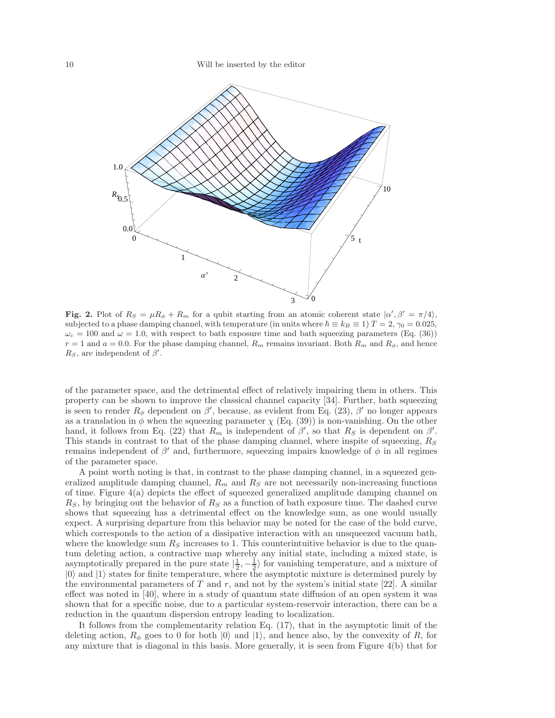

Fig. 2. Plot of  $R_S = \mu R_\phi + R_m$  for a qubit starting from an atomic coherent state  $\ket{\alpha', \beta'} = \pi/4$ , subjected to a phase damping channel, with temperature (in units where  $\hbar \equiv k_B \equiv 1$ )  $T = 2$ ,  $\gamma_0 = 0.025$ ,  $\omega_c = 100$  and  $\omega = 1.0$ , with respect to bath exposure time and bath squeezing parameters (Eq. (36))  $r = 1$  and  $a = 0.0$ . For the phase damping channel,  $R_m$  remains invariant. Both  $R_m$  and  $R_{\phi}$ , and hence  $R_S$ , are independent of  $\beta'$ .

of the parameter space, and the detrimental effect of relatively impairing them in others. This property can be shown to improve the classical channel capacity [34]. Further, bath squeezing is seen to render  $R_{\phi}$  dependent on  $\beta'$ , because, as evident from Eq. (23),  $\beta'$  no longer appears as a translation in  $\phi$  when the squeezing parameter  $\chi$  (Eq. (39)) is non-vanishing. On the other hand, it follows from Eq. (22) that  $R_m$  is independent of  $\beta'$ , so that  $R_S$  is dependent on  $\beta'$ . This stands in contrast to that of the phase damping channel, where inspite of squeezing,  $R<sub>S</sub>$ remains independent of  $\beta'$  and, furthermore, squeezing impairs knowledge of  $\phi$  in all regimes of the parameter space.

A point worth noting is that, in contrast to the phase damping channel, in a squeezed generalized amplitude damping channel,  $R_m$  and  $R_S$  are not necessarily non-increasing functions of time. Figure  $4(a)$  depicts the effect of squeezed generalized amplitude damping channel on  $R<sub>S</sub>$ , by bringing out the behavior of  $R<sub>S</sub>$  as a function of bath exposure time. The dashed curve shows that squeezing has a detrimental effect on the knowledge sum, as one would usually expect. A surprising departure from this behavior may be noted for the case of the bold curve, which corresponds to the action of a dissipative interaction with an unsqueezed vacuum bath, where the knowledge sum  $R<sub>S</sub>$  increases to 1. This counterintuitive behavior is due to the quantum deleting action, a contractive map whereby any initial state, including a mixed state, is asymptotically prepared in the pure state  $\left|\frac{1}{2},-\frac{1}{2}\right\rangle$  for vanishing temperature, and a mixture of  $|0\rangle$  and  $|1\rangle$  states for finite temperature, where the asymptotic mixture is determined purely by the environmental parameters of  $T$  and  $r$ , and not by the system's initial state [22]. A similar effect was noted in [40], where in a study of quantum state diffusion of an open system it was shown that for a specific noise, due to a particular system-reservoir interaction, there can be a reduction in the quantum dispersion entropy leading to localization.

It follows from the complementarity relation Eq. (17), that in the asymptotic limit of the deleting action,  $R_{\phi}$  goes to 0 for both  $|0\rangle$  and  $|1\rangle$ , and hence also, by the convexity of R, for any mixture that is diagonal in this basis. More generally, it is seen from Figure 4(b) that for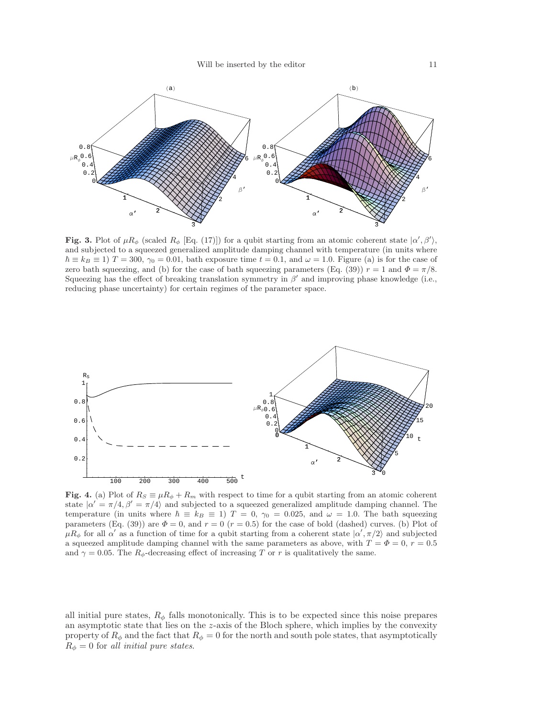

Fig. 3. Plot of  $\mu R_{\phi}$  (scaled  $R_{\phi}$  [Eq. (17)]) for a qubit starting from an atomic coherent state  $|\alpha', \beta'\rangle$ , and subjected to a squeezed generalized amplitude damping channel with temperature (in units where  $\hbar \equiv k_B \equiv 1$ )  $T = 300$ ,  $\gamma_0 = 0.01$ , bath exposure time  $t = 0.1$ , and  $\omega = 1.0$ . Figure (a) is for the case of zero bath squeezing, and (b) for the case of bath squeezing parameters (Eq. (39))  $r = 1$  and  $\Phi = \pi/8$ . Squeezing has the effect of breaking translation symmetry in  $\beta'$  and improving phase knowledge (i.e., reducing phase uncertainty) for certain regimes of the parameter space.



Fig. 4. (a) Plot of  $R_S \equiv \mu R_{\phi} + R_m$  with respect to time for a qubit starting from an atomic coherent state  $|\alpha' = \pi/4, \beta' = \pi/4\rangle$  and subjected to a squeezed generalized amplitude damping channel. The temperature (in units where  $\hbar \equiv k_B \equiv 1$ )  $T = 0$ ,  $\gamma_0 = 0.025$ , and  $\omega = 1.0$ . The bath squeezing parameters (Eq. (39)) are  $\Phi = 0$ , and  $r = 0$  ( $r = 0.5$ ) for the case of bold (dashed) curves. (b) Plot of  $\mu R_{\phi}$  for all  $\alpha'$  as a function of time for a qubit starting from a coherent state  $|\alpha', \pi/2\rangle$  and subjected a squeezed amplitude damping channel with the same parameters as above, with  $T = \Phi = 0$ ,  $r = 0.5$ and  $\gamma = 0.05$ . The  $R_{\phi}$ -decreasing effect of increasing T or r is qualitatively the same.

all initial pure states,  $R_{\phi}$  falls monotonically. This is to be expected since this noise prepares an asymptotic state that lies on the  $z$ -axis of the Bloch sphere, which implies by the convexity property of  $R_{\phi}$  and the fact that  $R_{\phi} = 0$  for the north and south pole states, that asymptotically  $R_{\phi} = 0$  for all initial pure states.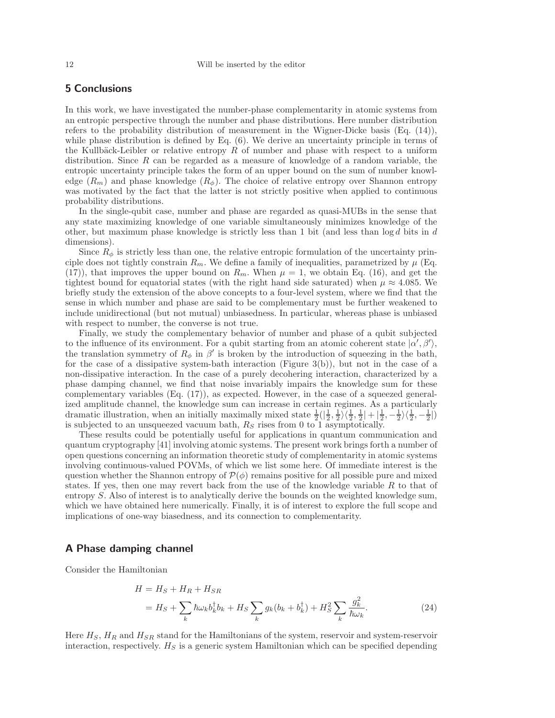# 5 Conclusions

In this work, we have investigated the number-phase complementarity in atomic systems from an entropic perspective through the number and phase distributions. Here number distribution refers to the probability distribution of measurement in the Wigner-Dicke basis (Eq. (14)), while phase distribution is defined by Eq.  $(6)$ . We derive an uncertainty principle in terms of the Kullbäck-Leibler or relative entropy  $R$  of number and phase with respect to a uniform distribution. Since R can be regarded as a measure of knowledge of a random variable, the entropic uncertainty principle takes the form of an upper bound on the sum of number knowledge  $(R_m)$  and phase knowledge  $(R_{\phi})$ . The choice of relative entropy over Shannon entropy was motivated by the fact that the latter is not strictly positive when applied to continuous probability distributions.

In the single-qubit case, number and phase are regarded as quasi-MUBs in the sense that any state maximizing knowledge of one variable simultaneously minimizes knowledge of the other, but maximum phase knowledge is strictly less than 1 bit (and less than  $\log d$  bits in d dimensions).

Since  $R_{\phi}$  is strictly less than one, the relative entropic formulation of the uncertainty principle does not tightly constrain  $R_m$ . We define a family of inequalities, parametrized by  $\mu$  (Eq. (17)), that improves the upper bound on  $R_m$ . When  $\mu = 1$ , we obtain Eq. (16), and get the tightest bound for equatorial states (with the right hand side saturated) when  $\mu \approx 4.085$ . We briefly study the extension of the above concepts to a four-level system, where we find that the sense in which number and phase are said to be complementary must be further weakened to include unidirectional (but not mutual) unbiasedness. In particular, whereas phase is unbiased with respect to number, the converse is not true.

Finally, we study the complementary behavior of number and phase of a qubit subjected to the influence of its environment. For a qubit starting from an atomic coherent state  $|\alpha', \beta'\rangle$ , the translation symmetry of  $R_{\phi}$  in  $\beta'$  is broken by the introduction of squeezing in the bath, for the case of a dissipative system-bath interaction (Figure 3(b)), but not in the case of a non-dissipative interaction. In the case of a purely decohering interaction, characterized by a phase damping channel, we find that noise invariably impairs the knowledge sum for these complementary variables (Eq. (17)), as expected. However, in the case of a squeezed generalized amplitude channel, the knowledge sum can increase in certain regimes. As a particularly dramatic illustration, when an initially maximally mixed state  $\frac{1}{2}(\left|\frac{1}{2},\frac{1}{2}\right)\left(\frac{1}{2},\frac{1}{2}\right|+\left|\frac{1}{2},-\frac{1}{2}\right\rangle\left\langle\frac{1}{2},-\frac{1}{2}\right|)$ is subjected to an unsqueezed vacuum bath,  $R<sub>S</sub>$  rises from 0 to 1 asymptotically.

These results could be potentially useful for applications in quantum communication and quantum cryptography [41] involving atomic systems. The present work brings forth a number of open questions concerning an information theoretic study of complementarity in atomic systems involving continuous-valued POVMs, of which we list some here. Of immediate interest is the question whether the Shannon entropy of  $\mathcal{P}(\phi)$  remains positive for all possible pure and mixed states. If yes, then one may revert back from the use of the knowledge variable  $R$  to that of entropy S. Also of interest is to analytically derive the bounds on the weighted knowledge sum, which we have obtained here numerically. Finally, it is of interest to explore the full scope and implications of one-way biasedness, and its connection to complementarity.

# A Phase damping channel

Consider the Hamiltonian

$$
H = HS + HR + HSR
$$
  
=  $HS + \sum_{k} \hbar \omega_{k} b_{k}^{\dagger} b_{k} + HS \sum_{k} g_{k} (b_{k} + b_{k}^{\dagger}) + HS2 \sum_{k} \frac{g_{k}^{2}}{\hbar \omega_{k}}.$  (24)

Here  $H_S$ ,  $H_R$  and  $H_{SR}$  stand for the Hamiltonians of the system, reservoir and system-reservoir interaction, respectively.  $H<sub>S</sub>$  is a generic system Hamiltonian which can be specified depending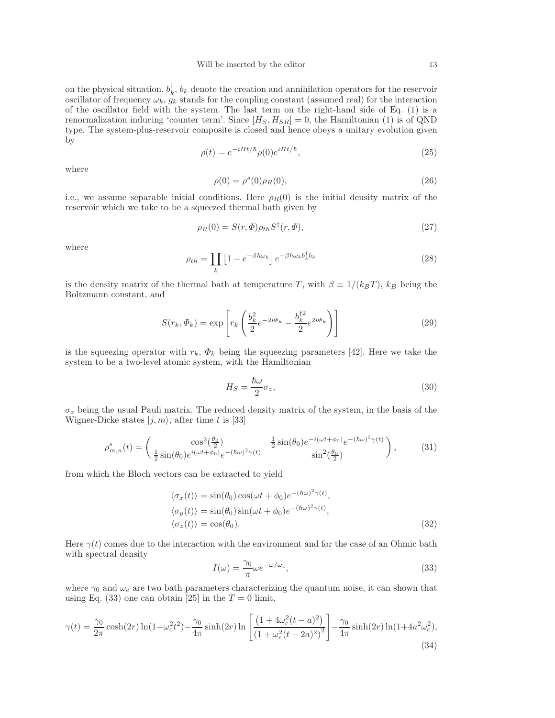on the physical situation.  $b_k^{\dagger}$ ,  $b_k$  denote the creation and annihilation operators for the reservoir oscillator of frequency  $\omega_k$ ,  $g_k$  stands for the coupling constant (assumed real) for the interaction of the oscillator field with the system. The last term on the right-hand side of Eq. (1) is a renormalization inducing 'counter term'. Since  $[H_S, H_{SR}] = 0$ , the Hamiltonian (1) is of QND type. The system-plus-reservoir composite is closed and hence obeys a unitary evolution given by

$$
\rho(t) = e^{-iHt/\hbar} \rho(0) e^{iHt/\hbar}, \qquad (25)
$$

where

$$
\rho(0) = \rho^{s}(0)\rho_{R}(0),
$$
\n(26)

i.e., we assume separable initial conditions. Here  $\rho_R(0)$  is the initial density matrix of the reservoir which we take to be a squeezed thermal bath given by

$$
\rho_R(0) = S(r, \Phi)\rho_{th} S^{\dagger}(r, \Phi), \qquad (27)
$$

where

$$
\rho_{th} = \prod_{k} \left[ 1 - e^{-\beta \hbar \omega_k} \right] e^{-\beta \hbar \omega_k b_k^{\dagger} b_k} \tag{28}
$$

is the density matrix of the thermal bath at temperature T, with  $\beta \equiv 1/(k_BT)$ ,  $k_B$  being the Boltzmann constant, and

$$
S(r_k, \Phi_k) = \exp\left[r_k \left(\frac{b_k^2}{2} e^{-2i\Phi_k} - \frac{b_k^{\dagger 2}}{2} e^{2i\Phi_k}\right)\right]
$$
\n(29)

is the squeezing operator with  $r_k$ ,  $\Phi_k$  being the squeezing parameters [42]. Here we take the system to be a two-level atomic system, with the Hamiltonian

$$
H_S = \frac{\hbar\omega}{2}\sigma_z,\tag{30}
$$

 $\sigma_z$  being the usual Pauli matrix. The reduced density matrix of the system, in the basis of the Wigner-Dicke states  $|j, m\rangle$ , after time t is [33]

$$
\rho_{m,n}^{s}(t) = \begin{pmatrix} \cos^{2}(\frac{\theta_{0}}{2}) & \frac{1}{2}\sin(\theta_{0})e^{-i(\omega t + \phi_{0})}e^{-(\hbar\omega)^{2}}\gamma(t) \\ \frac{1}{2}\sin(\theta_{0})e^{i(\omega t + \phi_{0})}e^{-(\hbar\omega)^{2}}\gamma(t) & \sin^{2}(\frac{\theta_{0}}{2}) \end{pmatrix},
$$
(31)

from which the Bloch vectors can be extracted to yield

$$
\langle \sigma_x(t) \rangle = \sin(\theta_0) \cos(\omega t + \phi_0) e^{-(\hbar \omega)^2 \gamma(t)},
$$
  
\n
$$
\langle \sigma_y(t) \rangle = \sin(\theta_0) \sin(\omega t + \phi_0) e^{-(\hbar \omega)^2 \gamma(t)},
$$
  
\n
$$
\langle \sigma_z(t) \rangle = \cos(\theta_0).
$$
\n(32)

Here  $\gamma(t)$  comes due to the interaction with the environment and for the case of an Ohmic bath with spectral density

$$
I(\omega) = \frac{\gamma_0}{\pi} \omega e^{-\omega/\omega_c},\tag{33}
$$

where  $\gamma_0$  and  $\omega_c$  are two bath parameters characterizing the quantum noise, it can shown that using Eq. (33) one can obtain [25] in the  $T = 0$  limit,

$$
\gamma(t) = \frac{\gamma_0}{2\pi} \cosh(2r) \ln(1+\omega_c^2 t^2) - \frac{\gamma_0}{4\pi} \sinh(2r) \ln\left[\frac{\left(1+4\omega_c^2(t-a)^2\right)}{\left(1+\omega_c^2(t-2a)^2\right)^2}\right] - \frac{\gamma_0}{4\pi} \sinh(2r) \ln(1+4a^2\omega_c^2),\tag{34}
$$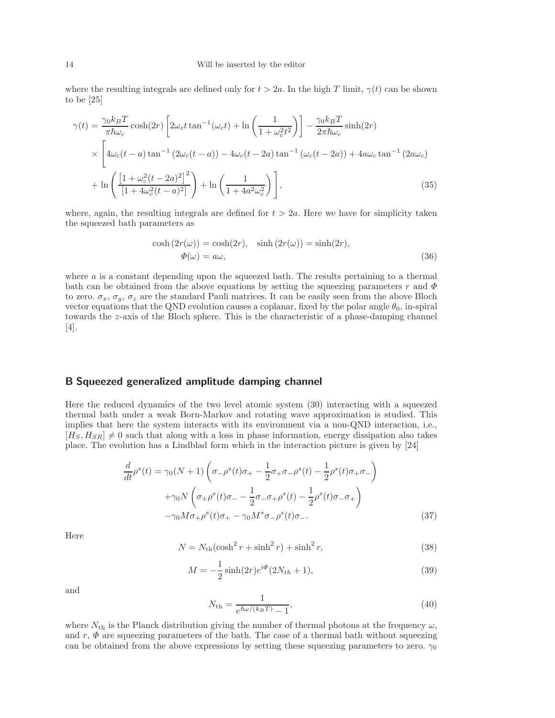where the resulting integrals are defined only for  $t > 2a$ . In the high T limit,  $\gamma(t)$  can be shown to be [25]

$$
\gamma(t) = \frac{\gamma_0 k_B T}{\pi \hbar \omega_c} \cosh(2r) \left[ 2\omega_c t \tan^{-1}(\omega_c t) + \ln\left(\frac{1}{1 + \omega_c^2 t^2}\right) \right] - \frac{\gamma_0 k_B T}{2\pi \hbar \omega_c} \sinh(2r)
$$

$$
\times \left[ 4\omega_c (t - a) \tan^{-1} \left(2\omega_c (t - a)\right) - 4\omega_c (t - 2a) \tan^{-1}(\omega_c (t - 2a)) + 4a\omega_c \tan^{-1}\left(2a\omega_c\right) \right.
$$

$$
+ \ln\left(\frac{\left[1 + \omega_c^2 (t - 2a)^2\right]^2}{\left[1 + 4\omega_c^2 (t - a)^2\right]} \right) + \ln\left(\frac{1}{1 + 4a^2 \omega_c^2}\right) \right],
$$
(35)

where, again, the resulting integrals are defined for  $t > 2a$ . Here we have for simplicity taken the squeezed bath parameters as

$$
\cosh(2r(\omega)) = \cosh(2r), \quad \sinh(2r(\omega)) = \sinh(2r),
$$
  

$$
\Phi(\omega) = a\omega,
$$
 (36)

where  $a$  is a constant depending upon the squeezed bath. The results pertaining to a thermal bath can be obtained from the above equations by setting the squeezing parameters r and  $\Phi$ to zero.  $\sigma_x$ ,  $\sigma_y$ ,  $\sigma_z$  are the standard Pauli matrices. It can be easily seen from the above Bloch vector equations that the QND evolution causes a coplanar, fixed by the polar angle  $\theta_0$ , in-spiral towards the  $z$ -axis of the Bloch sphere. This is the characteristic of a phase-damping channel [4].

### B Squeezed generalized amplitude damping channel

Here the reduced dynamics of the two level atomic system  $(30)$  interacting with a squeezed thermal bath under a weak Born-Markov and rotating wave approximation is studied. This implies that here the system interacts with its environment via a non-QND interaction, i.e.,  $[H<sub>S</sub>, H<sub>SR</sub>] \neq 0$  such that along with a loss in phase information, energy dissipation also takes place. The evolution has a Lindblad form which in the interaction picture is given by [24]

$$
\frac{d}{dt}\rho^{s}(t) = \gamma_{0}(N+1)\left(\sigma_{-\rho}^{s}(t)\sigma_{+} - \frac{1}{2}\sigma_{+}\sigma_{-\rho}^{s}(t) - \frac{1}{2}\rho^{s}(t)\sigma_{+}\sigma_{-}\right) \n+ \gamma_{0}N\left(\sigma_{+}\rho^{s}(t)\sigma_{-} - \frac{1}{2}\sigma_{-\sigma_{+}\rho}^{s}(t) - \frac{1}{2}\rho^{s}(t)\sigma_{-\sigma_{+}}\right) \n- \gamma_{0}M\sigma_{+}\rho^{s}(t)\sigma_{+} - \gamma_{0}M^{*}\sigma_{-\rho}^{s}(t)\sigma_{-}.
$$
\n(37)

Here

$$
N = N_{\rm th}(\cosh^2 r + \sinh^2 r) + \sinh^2 r,\tag{38}
$$

$$
M = -\frac{1}{2}\sinh(2r)e^{i\Phi}(2N_{th} + 1),\tag{39}
$$

and

$$
N_{\rm th} = \frac{1}{e^{\hbar \omega/(k_B T)} - 1},\tag{40}
$$

where  $N_{\rm th}$  is the Planck distribution giving the number of thermal photons at the frequency  $\omega$ , and  $r, \Phi$  are squeezing parameters of the bath. The case of a thermal bath without squeezing can be obtained from the above expressions by setting these squeezing parameters to zero.  $\gamma_0$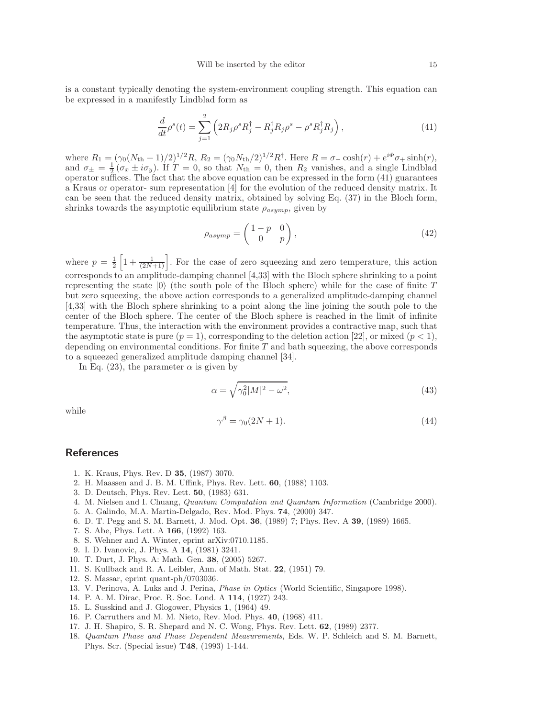is a constant typically denoting the system-environment coupling strength. This equation can be expressed in a manifestly Lindblad form as

$$
\frac{d}{dt}\rho^s(t) = \sum_{j=1}^2 \left( 2R_j \rho^s R_j^\dagger - R_j^\dagger R_j \rho^s - \rho^s R_j^\dagger R_j \right),\tag{41}
$$

where  $R_1 = (\gamma_0 (N_{\text{th}} + 1)/2)^{1/2} R$ ,  $R_2 = (\gamma_0 N_{\text{th}}/2)^{1/2} R^{\dagger}$ . Here  $R = \sigma_- \cosh(r) + e^{i\Phi} \sigma_+ \sinh(r)$ , and  $\sigma_{\pm} = \frac{1}{2} (\sigma_x \pm i \sigma_y)$ . If  $T = 0$ , so that  $N_{\text{th}} = 0$ , then  $R_2$  vanishes, and a single Lindblad operator suffices. The fact that the above equation can be expressed in the form (41) guarantees a Kraus or operator- sum representation [4] for the evolution of the reduced density matrix. It can be seen that the reduced density matrix, obtained by solving Eq. (37) in the Bloch form, shrinks towards the asymptotic equilibrium state  $\rho_{asymp}$ , given by

$$
\rho_{asymp} = \begin{pmatrix} 1-p & 0 \\ 0 & p \end{pmatrix},\tag{42}
$$

where  $p = \frac{1}{2} \left[ 1 + \frac{1}{(2N+1)} \right]$ . For the case of zero squeezing and zero temperature, this action corresponds to an amplitude-damping channel [4,33] with the Bloch sphere shrinking to a point representing the state  $|0\rangle$  (the south pole of the Bloch sphere) while for the case of finite T but zero squeezing, the above action corresponds to a generalized amplitude-damping channel [4,33] with the Bloch sphere shrinking to a point along the line joining the south pole to the center of the Bloch sphere. The center of the Bloch sphere is reached in the limit of infinite temperature. Thus, the interaction with the environment provides a contractive map, such that the asymptotic state is pure  $(p = 1)$ , corresponding to the deletion action [22], or mixed  $(p < 1)$ , depending on environmental conditions. For finite  $T$  and bath squeezing, the above corresponds to a squeezed generalized amplitude damping channel [34].

In Eq. (23), the parameter  $\alpha$  is given by

$$
\alpha = \sqrt{\gamma_0^2 |M|^2 - \omega^2},\tag{43}
$$

while

$$
\gamma^{\beta} = \gamma_0 (2N + 1). \tag{44}
$$

# **References**

- 1. K. Kraus, Phys. Rev. D 35, (1987) 3070.
- 2. H. Maassen and J. B. M. Uffink, Phys. Rev. Lett. 60, (1988) 1103.
- 3. D. Deutsch, Phys. Rev. Lett. 50, (1983) 631.
- 4. M. Nielsen and I. Chuang, Quantum Computation and Quantum Information (Cambridge 2000).
- 5. A. Galindo, M.A. Martin-Delgado, Rev. Mod. Phys. 74, (2000) 347.
- 6. D. T. Pegg and S. M. Barnett, J. Mod. Opt. 36, (1989) 7; Phys. Rev. A 39, (1989) 1665.
- 7. S. Abe, Phys. Lett. A 166, (1992) 163.
- 8. S. Wehner and A. Winter, eprint arXiv:0710.1185.
- 9. I. D. Ivanovic, J. Phys. A 14, (1981) 3241.
- 10. T. Durt, J. Phys. A: Math. Gen. 38, (2005) 5267.
- 11. S. Kullback and R. A. Leibler, Ann. of Math. Stat. 22, (1951) 79.
- 12. S. Massar, eprint quant-ph/0703036.
- 13. V. Perinova, A. Luks and J. Perina, Phase in Optics (World Scientific, Singapore 1998).
- 14. P. A. M. Dirac, Proc. R. Soc. Lond. A 114, (1927) 243.
- 15. L. Susskind and J. Glogower, Physics 1, (1964) 49.
- 16. P. Carruthers and M. M. Nieto, Rev. Mod. Phys. 40, (1968) 411.
- 17. J. H. Shapiro, S. R. Shepard and N. C. Wong, Phys. Rev. Lett. 62, (1989) 2377.
- 18. Quantum Phase and Phase Dependent Measurements, Eds. W. P. Schleich and S. M. Barnett, Phys. Scr. (Special issue) T48, (1993) 1-144.